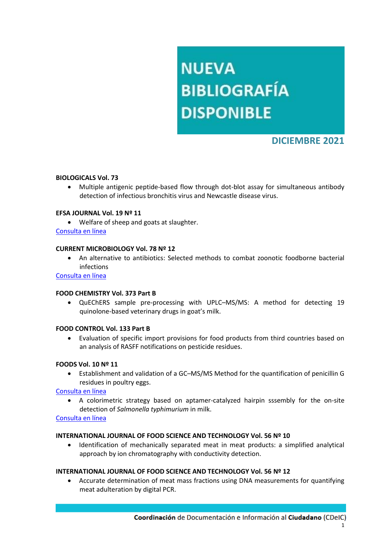# **NUEVA BIBLIOGRAFÍA DISPONIBLE**

# **DICIEMBRE 2021**

### **BIOLOGICALS Vol. 73**

 Multiple antigenic peptide-based flow through dot-blot assay for simultaneous antibody detection of infectious bronchitis virus and Newcastle disease virus.

#### **EFSA JOURNAL Vol. 19 Nº 11**

Welfare of sheep and goats at slaughter.

# [Consulta en línea](https://efsa.onlinelibrary.wiley.com/doi/pdf/10.2903/j.efsa.2021.6882)

#### **CURRENT MICROBIOLOGY Vol. 78 Nº 12**

 An alternative to antibiotics: Selected methods to combat zoonotic foodborne bacterial infections

[Consulta en línea](https://link.springer.com/article/10.1007/s00284-021-02665-9)

#### **FOOD CHEMISTRY Vol. 373 Part B**

 QuEChERS sample pre-processing with UPLC–MS/MS: A method for detecting 19 quinolone-based veterinary drugs in goat's milk.

#### **FOOD CONTROL Vol. 133 Part B**

 Evaluation of specific import provisions for food products from third countries based on an analysis of RASFF notifications on pesticide residues.

#### **FOODS Vol. 10 Nº 11**

 Establishment and validation of a GC–MS/MS Method for the quantification of penicillin G residues in poultry eggs.

# [Consulta en línea](https://www.mdpi.com/2304-8158/10/11/2735)

- A colorimetric strategy based on aptamer-catalyzed hairpin sssembly for the on-site detection of *Salmonella typhimurium* in milk.
- [Consulta en línea](https://www.mdpi.com/2304-8158/10/11/2539)

#### **INTERNATIONAL JOURNAL OF FOOD SCIENCE AND TECHNOLOGY Vol. 56 Nº 10**

 Identification of mechanically separated meat in meat products: a simplified analytical approach by ion chromatography with conductivity detection.

#### **INTERNATIONAL JOURNAL OF FOOD SCIENCE AND TECHNOLOGY Vol. 56 Nº 12**

 Accurate determination of meat mass fractions using DNA measurements for quantifying meat adulteration by digital PCR.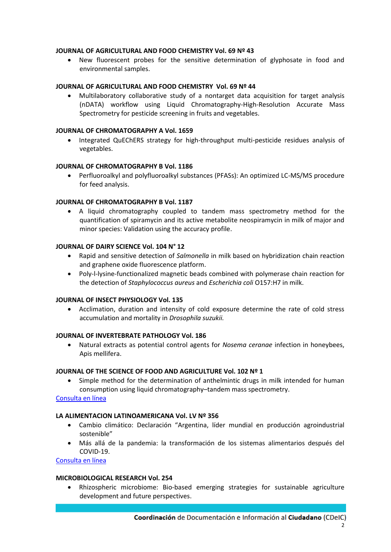# **JOURNAL OF AGRICULTURAL AND FOOD CHEMISTRY Vol. 69 Nº 43**

 New fluorescent probes for the sensitive determination of glyphosate in food and environmental samples.

# **JOURNAL OF AGRICULTURAL AND FOOD CHEMISTRY Vol. 69 Nº 44**

 Multilaboratory collaborative study of a nontarget data acquisition for target analysis (nDATA) workflow using Liquid Chromatography-High-Resolution Accurate Mass Spectrometry for pesticide screening in fruits and vegetables.

## **JOURNAL OF CHROMATOGRAPHY A Vol. 1659**

• Integrated QuEChERS strategy for high-throughput multi-pesticide residues analysis of vegetables.

#### **JOURNAL OF CHROMATOGRAPHY B Vol. 1186**

 Perfluoroalkyl and polyfluoroalkyl substances (PFASs): An optimized LC-MS/MS procedure for feed analysis.

# **JOURNAL OF CHROMATOGRAPHY B Vol. 1187**

 A liquid chromatography coupled to tandem mass spectrometry method for the quantification of spiramycin and its active metabolite neospiramycin in milk of major and minor species: Validation using the accuracy profile.

#### **JOURNAL OF DAIRY SCIENCE Vol. 104 N° 12**

- Rapid and sensitive detection of *Salmonella* in milk based on hybridization chain reaction and graphene oxide fluorescence platform.
- Poly-l-lysine-functionalized magnetic beads combined with polymerase chain reaction for the detection of *Staphylococcus aureus* and *Escherichia coli* O157:H7 in milk.

#### **JOURNAL OF INSECT PHYSIOLOGY Vol. 135**

 Acclimation, duration and intensity of cold exposure determine the rate of cold stress accumulation and mortality in *Drosophila suzukii.*

#### **JOURNAL OF INVERTEBRATE PATHOLOGY Vol. 186**

 Natural extracts as potential control agents for *Nosema ceranae* infection in honeybees, Apis mellifera.

#### **JOURNAL OF THE SCIENCE OF FOOD AND AGRICULTURE Vol. 102 Nº 1**

 Simple method for the determination of anthelmintic drugs in milk intended for human consumption using liquid chromatography–tandem mass spectrometry.

## [Consulta en línea](https://onlinelibrary.wiley.com/doi/epdf/10.1002/jsfa.11361)

# **LA ALIMENTACION LATINOAMERICANA Vol. LV Nº 356**

- Cambio climático: Declaración "Argentina, líder mundial en producción agroindustrial sostenible"
- Más allá de la pandemia: la transformación de los sistemas alimentarios después del COVID-19.

[Consulta en línea](https://publitec.com/wp-content/uploads/LAL356_web.pdf)

#### **MICROBIOLOGICAL RESEARCH Vol. 254**

 Rhizospheric microbiome: Bio-based emerging strategies for sustainable agriculture development and future perspectives.